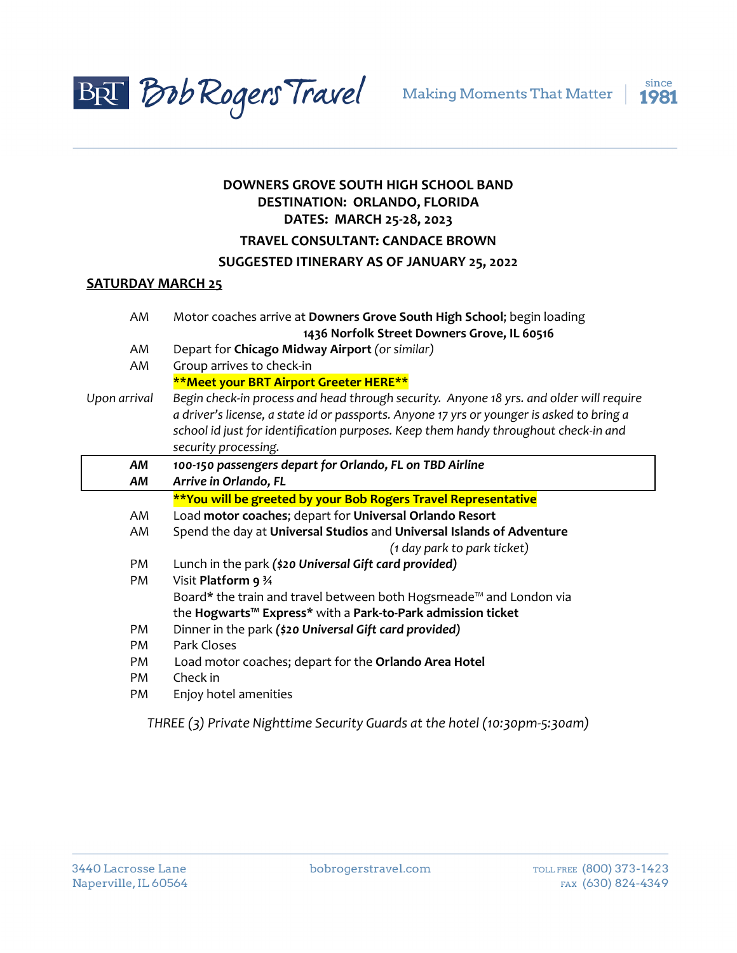



# **DOWNERS GROVE SOUTH HIGH SCHOOL BAND DESTINATION: ORLANDO, FLORIDA DATES: MARCH 25-28, 2023**

# **TRAVEL CONSULTANT: CANDACE BROWN**

# **SUGGESTED ITINERARY AS OF JANUARY 25, 2022**

# **SATURDAY MARCH 25**

| AM           | Motor coaches arrive at Downers Grove South High School; begin loading                    |
|--------------|-------------------------------------------------------------------------------------------|
|              | 1436 Norfolk Street Downers Grove, IL 60516                                               |
| AM           | Depart for Chicago Midway Airport (or similar)                                            |
| AM           | Group arrives to check-in                                                                 |
|              | **Meet your BRT Airport Greeter HERE**                                                    |
| Upon arrival | Begin check-in process and head through security. Anyone 18 yrs. and older will require   |
|              | a driver's license, a state id or passports. Anyone 17 yrs or younger is asked to bring a |
|              | school id just for identification purposes. Keep them handy throughout check-in and       |
|              | security processing.                                                                      |
| AΜ           | 100-150 passengers depart for Orlando, FL on TBD Airline                                  |
| AΜ           | Arrive in Orlando, FL                                                                     |
|              | **You will be greeted by your Bob Rogers Travel Representative                            |
| AM           | Load motor coaches; depart for Universal Orlando Resort                                   |
| AM           | Spend the day at Universal Studios and Universal Islands of Adventure                     |
|              | (1 day park to park ticket)                                                               |
| PM           | Lunch in the park (\$20 Universal Gift card provided)                                     |
| PM           | Visit Platform 9 34                                                                       |
|              | Board* the train and travel between both Hogsmeade™ and London via                        |
|              | the Hogwarts <sup>™</sup> Express* with a Park-to-Park admission ticket                   |
| PM           | Dinner in the park (\$20 Universal Gift card provided)                                    |
| PM           | Park Closes                                                                               |
| PM           | Load motor coaches; depart for the Orlando Area Hotel                                     |
| PM           | Check in                                                                                  |
| PM           | Enjoy hotel amenities                                                                     |
|              |                                                                                           |

*THREE (3) Private Nighttime Security Guards at the hotel (10:30pm-5:30am)*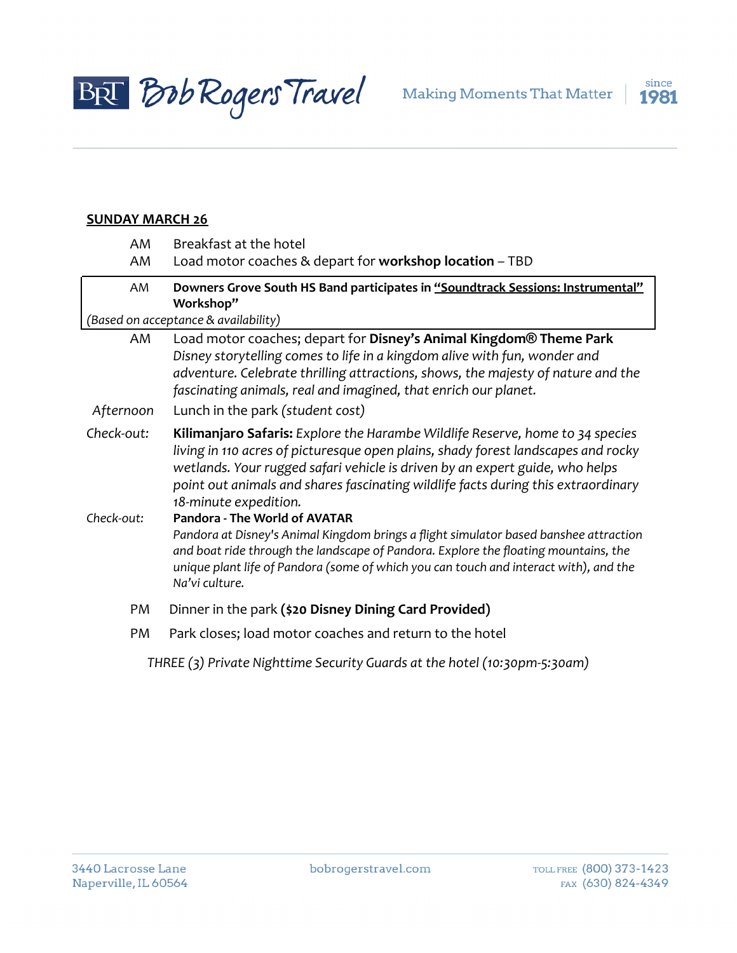



#### **SUNDAY MARCH 26**

| AM                                                | Breakfast at the hotel                                                                                                                                                                                                                                                                                                                                                  |  |  |
|---------------------------------------------------|-------------------------------------------------------------------------------------------------------------------------------------------------------------------------------------------------------------------------------------------------------------------------------------------------------------------------------------------------------------------------|--|--|
| AM                                                | Load motor coaches & depart for workshop location - TBD                                                                                                                                                                                                                                                                                                                 |  |  |
| AM                                                | Downers Grove South HS Band participates in "Soundtrack Sessions: Instrumental"                                                                                                                                                                                                                                                                                         |  |  |
| Workshop"<br>(Based on acceptance & availability) |                                                                                                                                                                                                                                                                                                                                                                         |  |  |
| AM                                                | Load motor coaches; depart for Disney's Animal Kingdom® Theme Park<br>Disney storytelling comes to life in a kingdom alive with fun, wonder and<br>adventure. Celebrate thrilling attractions, shows, the majesty of nature and the<br>fascinating animals, real and imagined, that enrich our planet.                                                                  |  |  |
| Afternoon                                         | Lunch in the park (student cost)                                                                                                                                                                                                                                                                                                                                        |  |  |
| Check-out:                                        | <b>Kilimanjaro Safaris:</b> Explore the Harambe Wildlife Reserve, home to 34 species<br>living in 110 acres of picturesque open plains, shady forest landscapes and rocky<br>wetlands. Your rugged safari vehicle is driven by an expert guide, who helps<br>point out animals and shares fascinating wildlife facts during this extraordinary<br>18-minute expedition. |  |  |
| Check-out:                                        | Pandora - The World of AVATAR<br>Pandora at Disney's Animal Kingdom brings a flight simulator based banshee attraction<br>and boat ride through the landscape of Pandora. Explore the floating mountains, the<br>unique plant life of Pandora (some of which you can touch and interact with), and the<br>Na'vi culture.                                                |  |  |
| PM                                                | Dinner in the park (\$20 Disney Dining Card Provided)                                                                                                                                                                                                                                                                                                                   |  |  |
| PM                                                | Park closes; load motor coaches and return to the hotel                                                                                                                                                                                                                                                                                                                 |  |  |

*THREE (3) Private Nighttime Security Guards at the hotel (10:30pm-5:30am)*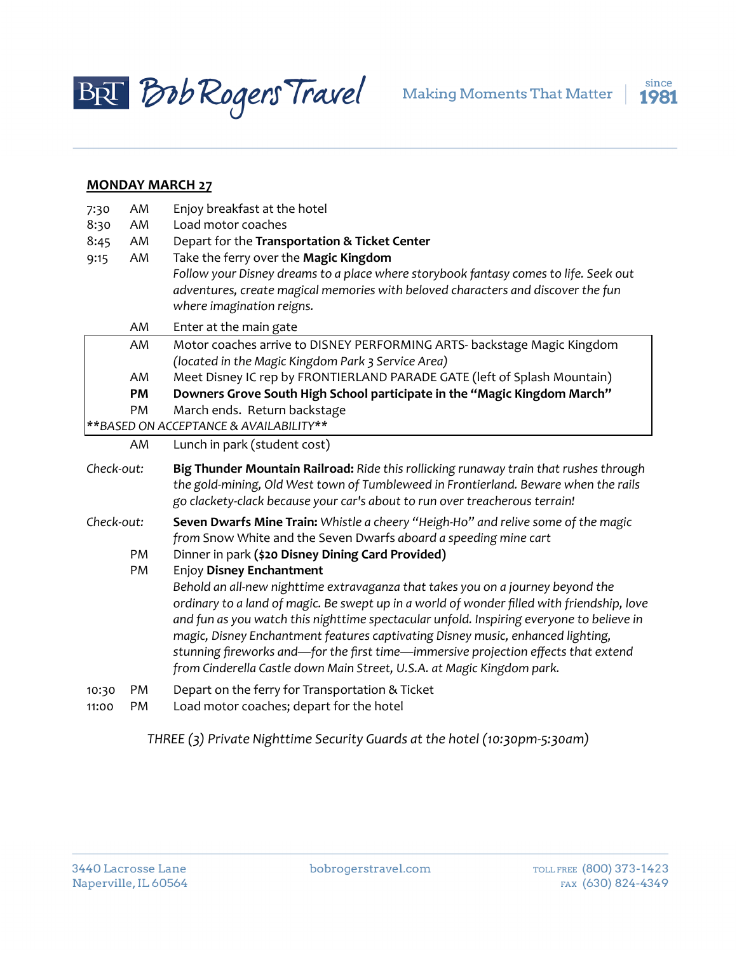



### **MONDAY MARCH 27**

| 7:30       | AM | Enjoy breakfast at the hotel                                                                                                                                                                                                                                |
|------------|----|-------------------------------------------------------------------------------------------------------------------------------------------------------------------------------------------------------------------------------------------------------------|
| 8:30       | AM | Load motor coaches                                                                                                                                                                                                                                          |
| 8:45       | AM | Depart for the Transportation & Ticket Center                                                                                                                                                                                                               |
| 9:15       | AM | Take the ferry over the Magic Kingdom                                                                                                                                                                                                                       |
|            |    | Follow your Disney dreams to a place where storybook fantasy comes to life. Seek out                                                                                                                                                                        |
|            |    | adventures, create magical memories with beloved characters and discover the fun                                                                                                                                                                            |
|            | AM | where imagination reigns.                                                                                                                                                                                                                                   |
|            |    | Enter at the main gate                                                                                                                                                                                                                                      |
|            | AM | Motor coaches arrive to DISNEY PERFORMING ARTS- backstage Magic Kingdom                                                                                                                                                                                     |
|            | AM | (located in the Magic Kingdom Park 3 Service Area)<br>Meet Disney IC rep by FRONTIERLAND PARADE GATE (left of Splash Mountain)                                                                                                                              |
|            | PM | Downers Grove South High School participate in the "Magic Kingdom March"                                                                                                                                                                                    |
|            | PM | March ends. Return backstage                                                                                                                                                                                                                                |
|            |    | ** BASED ON ACCEPTANCE & AVAILABILITY**                                                                                                                                                                                                                     |
|            | AM | Lunch in park (student cost)                                                                                                                                                                                                                                |
|            |    |                                                                                                                                                                                                                                                             |
|            |    |                                                                                                                                                                                                                                                             |
| Check-out: |    | Big Thunder Mountain Railroad: Ride this rollicking runaway train that rushes through<br>the gold-mining, Old West town of Tumbleweed in Frontierland. Beware when the rails<br>go clackety-clack because your car's about to run over treacherous terrain! |
| Check-out: |    |                                                                                                                                                                                                                                                             |
|            |    | Seven Dwarfs Mine Train: Whistle a cheery "Heigh-Ho" and relive some of the magic<br>from Snow White and the Seven Dwarfs aboard a speeding mine cart                                                                                                       |
|            | PM | Dinner in park (\$20 Disney Dining Card Provided)                                                                                                                                                                                                           |
|            | PM | <b>Enjoy Disney Enchantment</b>                                                                                                                                                                                                                             |
|            |    | Behold an all-new nighttime extravaganza that takes you on a journey beyond the                                                                                                                                                                             |
|            |    | ordinary to a land of magic. Be swept up in a world of wonder filled with friendship, love                                                                                                                                                                  |
|            |    | and fun as you watch this nighttime spectacular unfold. Inspiring everyone to believe in                                                                                                                                                                    |
|            |    | magic, Disney Enchantment features captivating Disney music, enhanced lighting,                                                                                                                                                                             |
|            |    | stunning fireworks and—for the first time—immersive projection effects that extend                                                                                                                                                                          |
|            |    | from Cinderella Castle down Main Street, U.S.A. at Magic Kingdom park.                                                                                                                                                                                      |
| 10:30      | PM | Depart on the ferry for Transportation & Ticket                                                                                                                                                                                                             |
| 11:00      | PM | Load motor coaches; depart for the hotel                                                                                                                                                                                                                    |

*THREE (3) Private Nighttime Security Guards at the hotel (10:30pm-5:30am)*